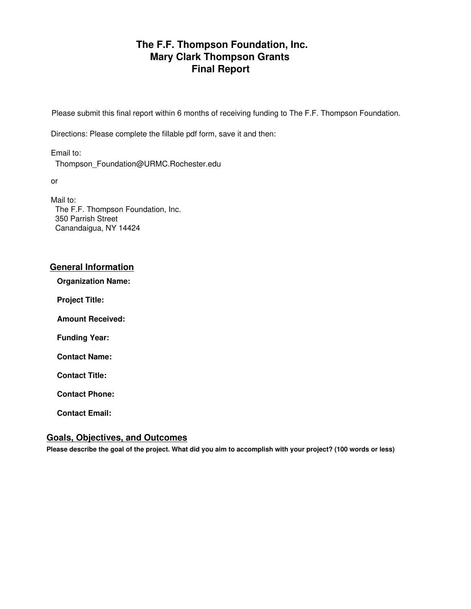# **The F.F. Thompson Foundation, Inc. Mary Clark Thompson Grants Final Report**

Please submit this final report within 6 months of receiving funding to The F.F. Thompson Foundation.

Directions: Please complete the fillable pdf form, save it and then:

Email to: Thompson\_Foundation@URMC.Rochester.edu

or

Mail to: The F.F. Thompson Foundation, Inc. 350 Parrish Street Canandaigua, NY 14424

### **General Information**

**Organization Name:**

**Project Title:**

**Amount Received:**

**Funding Year:**

**Contact Name:**

**Contact Title:**

**Contact Phone:**

**Contact Email:**

### **Goals, Objectives, and Outcomes**

**Please describe the goal of the project. What did you aim to accomplish with your project? (100 words or less)**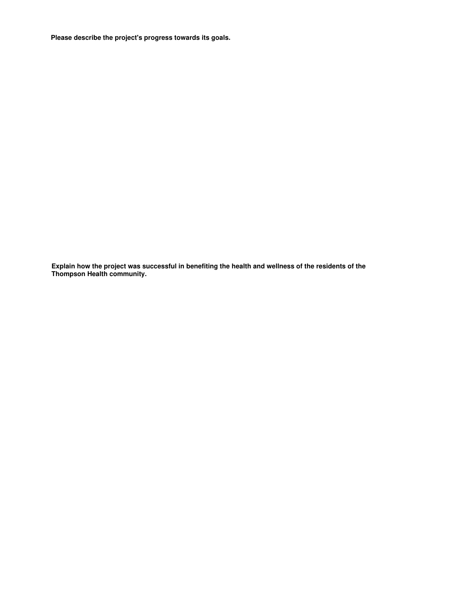**Please describe the project's progress towards its goals.**

**Explain how the project was successful in benefiting the health and wellness of the residents of the Thompson Health community.**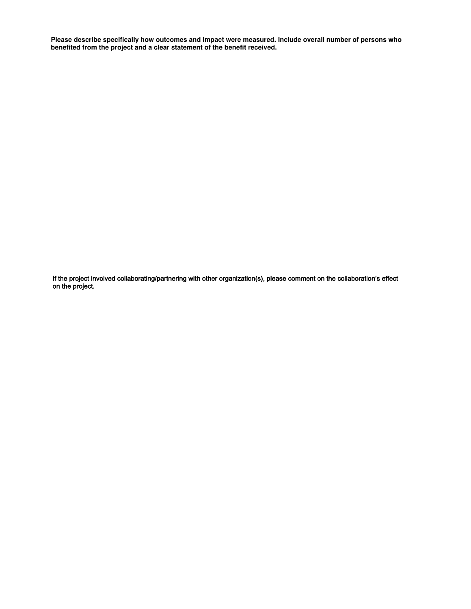**Please describe specifically how outcomes and impact were measured. Include overall number of persons who benefited from the project and a clear statement of the benefit received.**

If the project involved collaborating/partnering with other organization(s), please comment on the collaboration's effect on the project.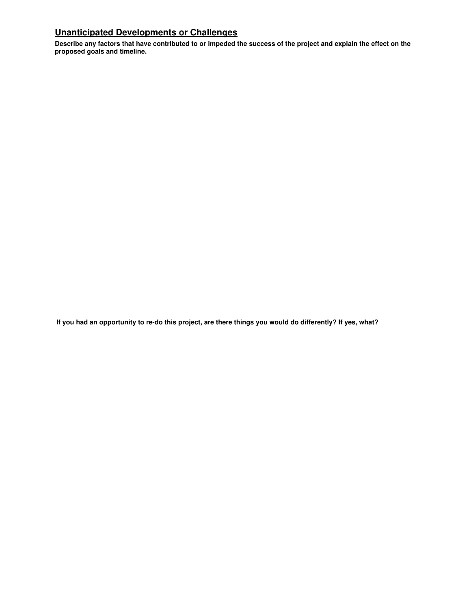## **Unanticipated Developments or Challenges**

**Describe any factors that have contributed to or impeded the success of the project and explain the effect on the proposed goals and timeline.**

**If you had an opportunity to re-do this project, are there things you would do differently? If yes, what?**